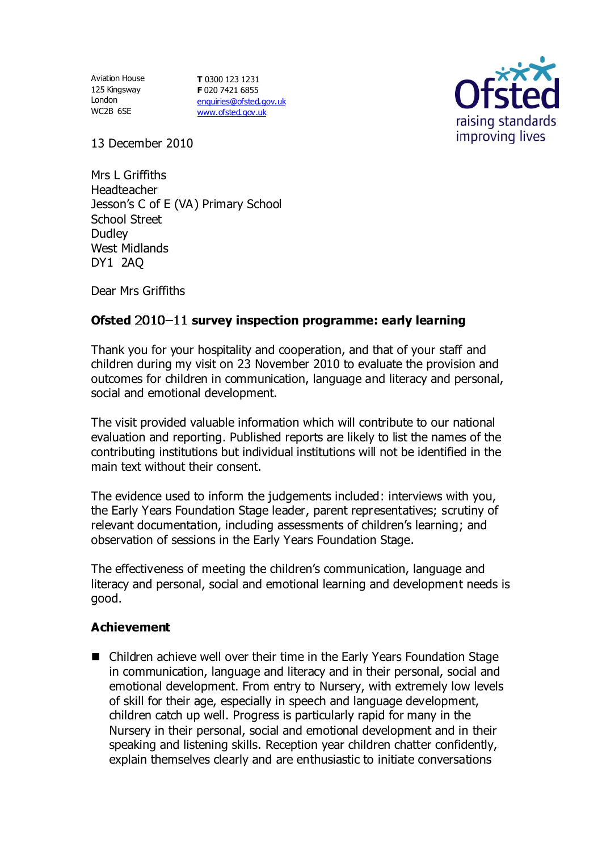Aviation House 125 Kingsway London WC2B 6SE

**T** 0300 123 1231 **F** 020 7421 6855 [enquiries@ofsted.gov.uk](mailto:enquiries@ofsted.gov.uk) [www.ofsted.gov.uk](http://www.ofsted.gov.uk/)



13 December 2010

Mrs L Griffiths Headteacher Jesson's C of E (VA) Primary School School Street Dudley West Midlands DY1 2AQ

Dear Mrs Griffiths

## **Ofsted 2010–11 survey inspection programme: early learning**

Thank you for your hospitality and cooperation, and that of your staff and children during my visit on 23 November 2010 to evaluate the provision and outcomes for children in communication, language and literacy and personal, social and emotional development.

The visit provided valuable information which will contribute to our national evaluation and reporting. Published reports are likely to list the names of the contributing institutions but individual institutions will not be identified in the main text without their consent.

The evidence used to inform the judgements included: interviews with you, the Early Years Foundation Stage leader, parent representatives; scrutiny of relevant documentation, including assessments of children's learning; and observation of sessions in the Early Years Foundation Stage.

The effectiveness of meeting the children's communication, language and literacy and personal, social and emotional learning and development needs is good.

#### **Achievement**

■ Children achieve well over their time in the Early Years Foundation Stage in communication, language and literacy and in their personal, social and emotional development. From entry to Nursery, with extremely low levels of skill for their age, especially in speech and language development, children catch up well. Progress is particularly rapid for many in the Nursery in their personal, social and emotional development and in their speaking and listening skills. Reception year children chatter confidently, explain themselves clearly and are enthusiastic to initiate conversations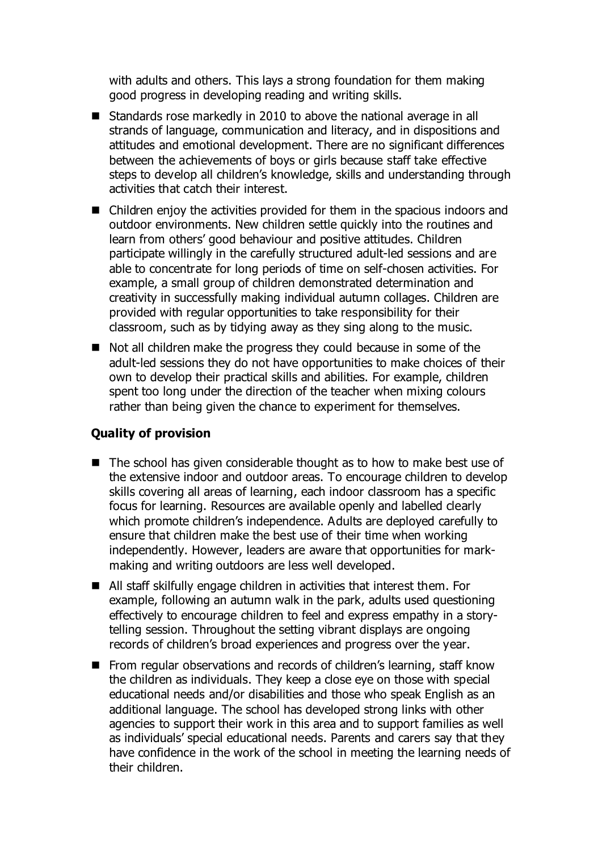with adults and others. This lays a strong foundation for them making good progress in developing reading and writing skills.

- Standards rose markedly in 2010 to above the national average in all strands of language, communication and literacy, and in dispositions and attitudes and emotional development. There are no significant differences between the achievements of boys or girls because staff take effective steps to develop all children's knowledge, skills and understanding through activities that catch their interest.
- Children enjoy the activities provided for them in the spacious indoors and outdoor environments. New children settle quickly into the routines and learn from others' good behaviour and positive attitudes. Children participate willingly in the carefully structured adult-led sessions and are able to concentrate for long periods of time on self-chosen activities. For example, a small group of children demonstrated determination and creativity in successfully making individual autumn collages. Children are provided with regular opportunities to take responsibility for their classroom, such as by tidying away as they sing along to the music.
- Not all children make the progress they could because in some of the adult-led sessions they do not have opportunities to make choices of their own to develop their practical skills and abilities. For example, children spent too long under the direction of the teacher when mixing colours rather than being given the chance to experiment for themselves.

### **Quality of provision**

- $\blacksquare$  The school has given considerable thought as to how to make best use of the extensive indoor and outdoor areas. To encourage children to develop skills covering all areas of learning, each indoor classroom has a specific focus for learning. Resources are available openly and labelled clearly which promote children's independence. Adults are deployed carefully to ensure that children make the best use of their time when working independently. However, leaders are aware that opportunities for markmaking and writing outdoors are less well developed.
- All staff skilfully engage children in activities that interest them. For example, following an autumn walk in the park, adults used questioning effectively to encourage children to feel and express empathy in a storytelling session. Throughout the setting vibrant displays are ongoing records of children's broad experiences and progress over the year.
- From regular observations and records of children's learning, staff know the children as individuals. They keep a close eye on those with special educational needs and/or disabilities and those who speak English as an additional language. The school has developed strong links with other agencies to support their work in this area and to support families as well as individuals' special educational needs. Parents and carers say that they have confidence in the work of the school in meeting the learning needs of their children.